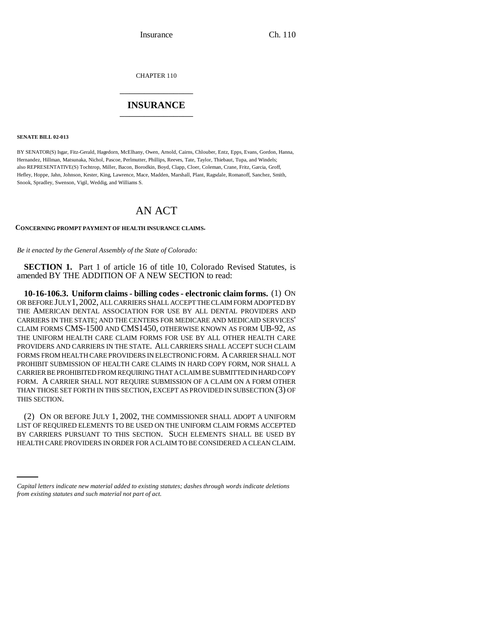Insurance Ch. 110

CHAPTER 110 \_\_\_\_\_\_\_\_\_\_\_\_\_\_\_

## **INSURANCE** \_\_\_\_\_\_\_\_\_\_\_\_\_\_\_

**SENATE BILL 02-013**

BY SENATOR(S) Isgar, Fitz-Gerald, Hagedorn, McElhany, Owen, Arnold, Cairns, Chlouber, Entz, Epps, Evans, Gordon, Hanna, Hernandez, Hillman, Matsunaka, Nichol, Pascoe, Perlmutter, Phillips, Reeves, Tate, Taylor, Thiebaut, Tupa, and Windels; also REPRESENTATIVE(S) Tochtrop, Miller, Bacon, Borodkin, Boyd, Clapp, Cloer, Coleman, Crane, Fritz, Garcia, Groff, Hefley, Hoppe, Jahn, Johnson, Kester, King, Lawrence, Mace, Madden, Marshall, Plant, Ragsdale, Romanoff, Sanchez, Smith, Snook, Spradley, Swenson, Vigil, Weddig, and Williams S.

# AN ACT

### **CONCERNING PROMPT PAYMENT OF HEALTH INSURANCE CLAIMS.**

*Be it enacted by the General Assembly of the State of Colorado:*

**SECTION 1.** Part 1 of article 16 of title 10, Colorado Revised Statutes, is amended BY THE ADDITION OF A NEW SECTION to read:

**10-16-106.3. Uniform claims - billing codes - electronic claim forms.** (1) ON OR BEFORE JULY1, 2002, ALL CARRIERS SHALL ACCEPT THE CLAIM FORM ADOPTED BY THE AMERICAN DENTAL ASSOCIATION FOR USE BY ALL DENTAL PROVIDERS AND CARRIERS IN THE STATE; AND THE CENTERS FOR MEDICARE AND MEDICAID SERVICES' CLAIM FORMS CMS-1500 AND CMS1450, OTHERWISE KNOWN AS FORM UB-92, AS THE UNIFORM HEALTH CARE CLAIM FORMS FOR USE BY ALL OTHER HEALTH CARE PROVIDERS AND CARRIERS IN THE STATE. ALL CARRIERS SHALL ACCEPT SUCH CLAIM FORMS FROM HEALTH CARE PROVIDERS IN ELECTRONIC FORM. A CARRIER SHALL NOT PROHIBIT SUBMISSION OF HEALTH CARE CLAIMS IN HARD COPY FORM, NOR SHALL A CARRIER BE PROHIBITED FROM REQUIRING THAT A CLAIM BE SUBMITTED IN HARD COPY FORM. A CARRIER SHALL NOT REQUIRE SUBMISSION OF A CLAIM ON A FORM OTHER THAN THOSE SET FORTH IN THIS SECTION, EXCEPT AS PROVIDED IN SUBSECTION (3) OF THIS SECTION.

BY CARRIERS PURSUANT TO THIS SECTION. SUCH ELEMENTS SHALL BE USED BY (2) ON OR BEFORE JULY 1, 2002, THE COMMISSIONER SHALL ADOPT A UNIFORM LIST OF REQUIRED ELEMENTS TO BE USED ON THE UNIFORM CLAIM FORMS ACCEPTED HEALTH CARE PROVIDERS IN ORDER FOR A CLAIM TO BE CONSIDERED A CLEAN CLAIM.

*Capital letters indicate new material added to existing statutes; dashes through words indicate deletions from existing statutes and such material not part of act.*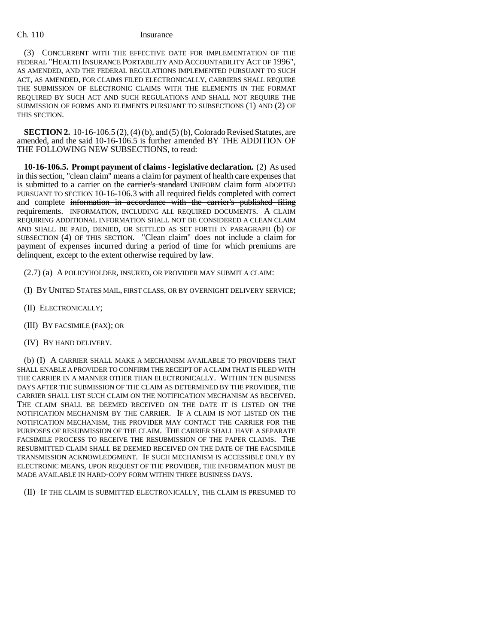### Ch. 110 Insurance

(3) CONCURRENT WITH THE EFFECTIVE DATE FOR IMPLEMENTATION OF THE FEDERAL "HEALTH INSURANCE PORTABILITY AND ACCOUNTABILITY ACT OF 1996", AS AMENDED, AND THE FEDERAL REGULATIONS IMPLEMENTED PURSUANT TO SUCH ACT, AS AMENDED, FOR CLAIMS FILED ELECTRONICALLY, CARRIERS SHALL REQUIRE THE SUBMISSION OF ELECTRONIC CLAIMS WITH THE ELEMENTS IN THE FORMAT REQUIRED BY SUCH ACT AND SUCH REGULATIONS AND SHALL NOT REQUIRE THE SUBMISSION OF FORMS AND ELEMENTS PURSUANT TO SUBSECTIONS (1) AND (2) OF THIS SECTION.

**SECTION 2.** 10-16-106.5 (2), (4) (b), and (5) (b), Colorado Revised Statutes, are amended, and the said 10-16-106.5 is further amended BY THE ADDITION OF THE FOLLOWING NEW SUBSECTIONS, to read:

**10-16-106.5. Prompt payment of claims - legislative declaration.** (2) As used in this section, "clean claim" means a claim for payment of health care expenses that is submitted to a carrier on the *earrier's standard* UNIFORM claim form ADOPTED PURSUANT TO SECTION 10-16-106.3 with all required fields completed with correct and complete information in accordance with the carrier's published filing requirements. INFORMATION, INCLUDING ALL REQUIRED DOCUMENTS. A CLAIM REQUIRING ADDITIONAL INFORMATION SHALL NOT BE CONSIDERED A CLEAN CLAIM AND SHALL BE PAID, DENIED, OR SETTLED AS SET FORTH IN PARAGRAPH (b) OF SUBSECTION (4) OF THIS SECTION. "Clean claim" does not include a claim for payment of expenses incurred during a period of time for which premiums are delinquent, except to the extent otherwise required by law.

(2.7) (a) A POLICYHOLDER, INSURED, OR PROVIDER MAY SUBMIT A CLAIM:

- (I) BY UNITED STATES MAIL, FIRST CLASS, OR BY OVERNIGHT DELIVERY SERVICE;
- (II) ELECTRONICALLY;
- (III) BY FACSIMILE (FAX); OR
- (IV) BY HAND DELIVERY.

(b) (I) A CARRIER SHALL MAKE A MECHANISM AVAILABLE TO PROVIDERS THAT SHALL ENABLE A PROVIDER TO CONFIRM THE RECEIPT OF A CLAIM THAT IS FILED WITH THE CARRIER IN A MANNER OTHER THAN ELECTRONICALLY. WITHIN TEN BUSINESS DAYS AFTER THE SUBMISSION OF THE CLAIM AS DETERMINED BY THE PROVIDER, THE CARRIER SHALL LIST SUCH CLAIM ON THE NOTIFICATION MECHANISM AS RECEIVED. THE CLAIM SHALL BE DEEMED RECEIVED ON THE DATE IT IS LISTED ON THE NOTIFICATION MECHANISM BY THE CARRIER. IF A CLAIM IS NOT LISTED ON THE NOTIFICATION MECHANISM, THE PROVIDER MAY CONTACT THE CARRIER FOR THE PURPOSES OF RESUBMISSION OF THE CLAIM. THE CARRIER SHALL HAVE A SEPARATE FACSIMILE PROCESS TO RECEIVE THE RESUBMISSION OF THE PAPER CLAIMS. THE RESUBMITTED CLAIM SHALL BE DEEMED RECEIVED ON THE DATE OF THE FACSIMILE TRANSMISSION ACKNOWLEDGMENT. IF SUCH MECHANISM IS ACCESSIBLE ONLY BY ELECTRONIC MEANS, UPON REQUEST OF THE PROVIDER, THE INFORMATION MUST BE MADE AVAILABLE IN HARD-COPY FORM WITHIN THREE BUSINESS DAYS.

(II) IF THE CLAIM IS SUBMITTED ELECTRONICALLY, THE CLAIM IS PRESUMED TO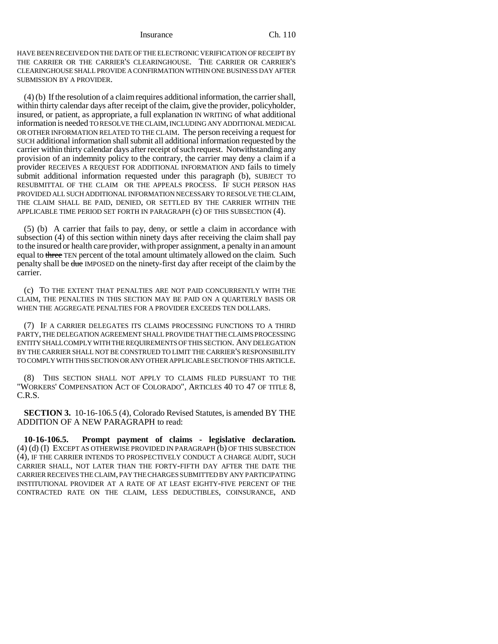Insurance Ch. 110

HAVE BEEN RECEIVED ON THE DATE OF THE ELECTRONIC VERIFICATION OF RECEIPT BY THE CARRIER OR THE CARRIER'S CLEARINGHOUSE. THE CARRIER OR CARRIER'S CLEARINGHOUSE SHALL PROVIDE A CONFIRMATION WITHIN ONE BUSINESS DAY AFTER SUBMISSION BY A PROVIDER.

(4) (b) If the resolution of a claim requires additional information, the carrier shall, within thirty calendar days after receipt of the claim, give the provider, policyholder, insured, or patient, as appropriate, a full explanation IN WRITING of what additional information is needed TO RESOLVE THE CLAIM, INCLUDING ANY ADDITIONAL MEDICAL OR OTHER INFORMATION RELATED TO THE CLAIM. The person receiving a request for SUCH additional information shall submit all additional information requested by the carrier within thirty calendar days after receipt of such request. Notwithstanding any provision of an indemnity policy to the contrary, the carrier may deny a claim if a provider RECEIVES A REQUEST FOR ADDITIONAL INFORMATION AND fails to timely submit additional information requested under this paragraph (b), SUBJECT TO RESUBMITTAL OF THE CLAIM OR THE APPEALS PROCESS. IF SUCH PERSON HAS PROVIDED ALL SUCH ADDITIONAL INFORMATION NECESSARY TO RESOLVE THE CLAIM, THE CLAIM SHALL BE PAID, DENIED, OR SETTLED BY THE CARRIER WITHIN THE APPLICABLE TIME PERIOD SET FORTH IN PARAGRAPH (c) OF THIS SUBSECTION (4).

(5) (b) A carrier that fails to pay, deny, or settle a claim in accordance with subsection (4) of this section within ninety days after receiving the claim shall pay to the insured or health care provider, with proper assignment, a penalty in an amount equal to three TEN percent of the total amount ultimately allowed on the claim. Such penalty shall be due IMPOSED on the ninety-first day after receipt of the claim by the carrier.

(c) TO THE EXTENT THAT PENALTIES ARE NOT PAID CONCURRENTLY WITH THE CLAIM, THE PENALTIES IN THIS SECTION MAY BE PAID ON A QUARTERLY BASIS OR WHEN THE AGGREGATE PENALTIES FOR A PROVIDER EXCEEDS TEN DOLLARS.

(7) IF A CARRIER DELEGATES ITS CLAIMS PROCESSING FUNCTIONS TO A THIRD PARTY, THE DELEGATION AGREEMENT SHALL PROVIDE THAT THE CLAIMS PROCESSING ENTITY SHALL COMPLY WITH THE REQUIREMENTS OF THIS SECTION. ANY DELEGATION BY THE CARRIER SHALL NOT BE CONSTRUED TO LIMIT THE CARRIER'S RESPONSIBILITY TO COMPLY WITH THIS SECTION OR ANY OTHER APPLICABLE SECTION OF THIS ARTICLE.

(8) THIS SECTION SHALL NOT APPLY TO CLAIMS FILED PURSUANT TO THE "WORKERS' COMPENSATION ACT OF COLORADO", ARTICLES 40 TO 47 OF TITLE 8, C.R.S.

**SECTION 3.** 10-16-106.5 (4), Colorado Revised Statutes, is amended BY THE ADDITION OF A NEW PARAGRAPH to read:

**10-16-106.5. Prompt payment of claims - legislative declaration.** (4) (d) (I) EXCEPT AS OTHERWISE PROVIDED IN PARAGRAPH (b) OF THIS SUBSECTION (4), IF THE CARRIER INTENDS TO PROSPECTIVELY CONDUCT A CHARGE AUDIT, SUCH CARRIER SHALL, NOT LATER THAN THE FORTY-FIFTH DAY AFTER THE DATE THE CARRIER RECEIVES THE CLAIM, PAY THE CHARGES SUBMITTED BY ANY PARTICIPATING INSTITUTIONAL PROVIDER AT A RATE OF AT LEAST EIGHTY-FIVE PERCENT OF THE CONTRACTED RATE ON THE CLAIM, LESS DEDUCTIBLES, COINSURANCE, AND